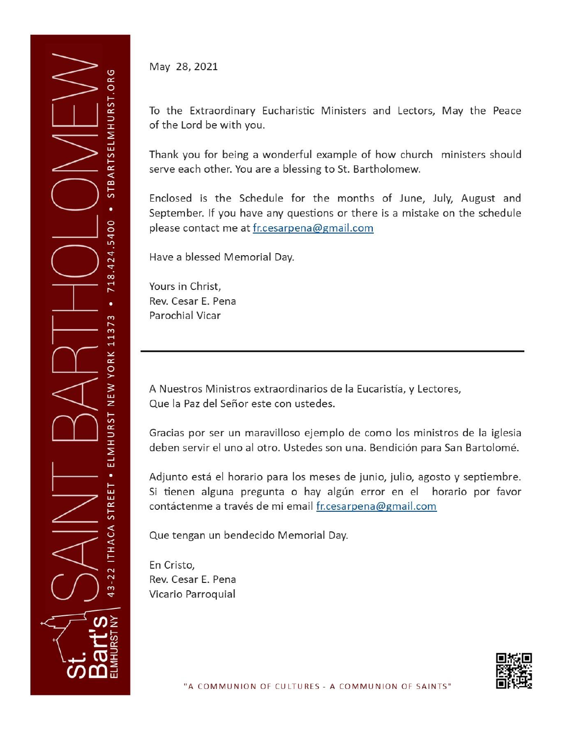

May 28, 2021

To the Extraordinary Eucharistic Ministers and Lectors, May the Peace of the Lord be with you.

Thank you for being a wonderful example of how church ministers should serve each other. You are a blessing to St. Bartholomew.

Enclosed is the Schedule for the months of June, July, August and September. If you have any questions or there is a mistake on the schedule please contact me at fr.cesarpena@gmail.com

Have a blessed Memorial Day.

Yours in Christ, Rev. Cesar E. Pena Parochial Vicar

A Nuestros Ministros extraordinarios de la Eucaristía, y Lectores, Que la Paz del Señor este con ustedes.

Gracias por ser un maravilloso ejemplo de como los ministros de la iglesia deben servir el uno al otro. Ustedes son una. Bendición para San Bartolomé.

Adjunto está el horario para los meses de junio, julio, agosto y septiembre. Si tienen alguna pregunta o hay algún error en el horario por favor contáctenme a través de mi email fr.cesarpena@gmail.com

Que tengan un bendecido Memorial Day.

En Cristo. Rev. Cesar E. Pena Vicario Parroquial

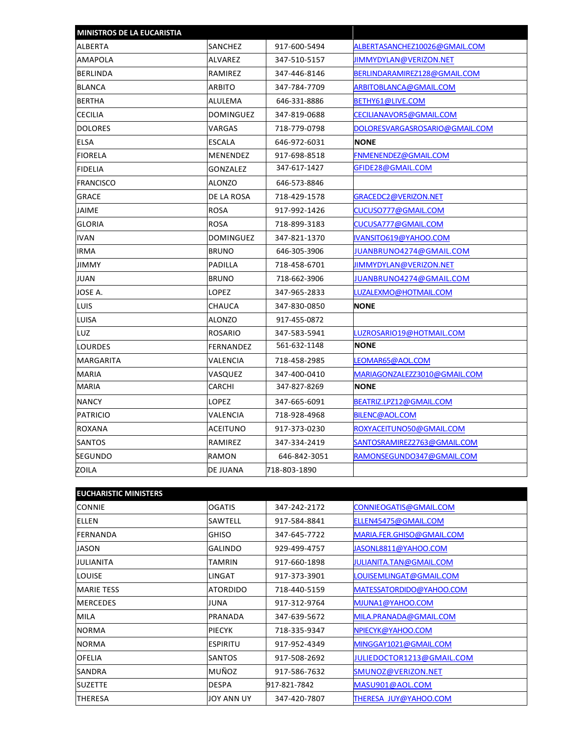| <b>MINISTROS DE LA EUCARISTIA</b> |                  |              |                                |
|-----------------------------------|------------------|--------------|--------------------------------|
| <b>ALBERTA</b>                    | SANCHEZ          | 917-600-5494 | ALBERTASANCHEZ10026@GMAIL.COM  |
| <b>AMAPOLA</b>                    | ALVAREZ          | 347-510-5157 | <b>JIMMYDYLAN@VERIZON.NET</b>  |
| <b>BERLINDA</b>                   | RAMIREZ          | 347-446-8146 | BERLINDARAMIREZ128@GMAIL.COM   |
| <b>BLANCA</b>                     | ARBITO           | 347-784-7709 | ARBITOBLANCA@GMAIL.COM         |
| <b>BERTHA</b>                     | ALULEMA          | 646-331-8886 | BETHY61@LIVE.COM               |
| <b>CECILIA</b>                    | <b>DOMINGUEZ</b> | 347-819-0688 | CECILIANAVOR5@GMAIL.COM        |
| <b>DOLORES</b>                    | VARGAS           | 718-779-0798 | DOLORESVARGASROSARIO@GMAIL.COM |
| <b>ELSA</b>                       | ESCALA           | 646-972-6031 | <b>NONE</b>                    |
| <b>FIORELA</b>                    | <b>MENENDEZ</b>  | 917-698-8518 | FNMENENDEZ@GMAIL.COM           |
| <b>FIDELIA</b>                    | GONZALEZ         | 347-617-1427 | GFIDE28@GMAIL.COM              |
| <b>FRANCISCO</b>                  | ALONZO           | 646-573-8846 |                                |
| <b>GRACE</b>                      | DE LA ROSA       | 718-429-1578 | GRACEDC2@VERIZON.NET           |
| <b>JAIME</b>                      | <b>ROSA</b>      | 917-992-1426 | Cucuso777@gmail.com            |
| <b>GLORIA</b>                     | <b>ROSA</b>      | 718-899-3183 | CUCUSA777@GMAIL.COM            |
| <b>IVAN</b>                       | DOMINGUEZ        | 347-821-1370 | IVANSITO619@YAHOO.COM          |
| <b>IRMA</b>                       | <b>BRUNO</b>     | 646-305-3906 | JUANBRUNO4274@GMAIL.COM        |
| <b>JIMMY</b>                      | <b>PADILLA</b>   | 718-458-6701 | <b>JIMMYDYLAN@VERIZON.NET</b>  |
| <b>JUAN</b>                       | <b>BRUNO</b>     | 718-662-3906 | JUANBRUNO4274@GMAIL.COM        |
| JOSE A.                           | LOPEZ            | 347-965-2833 | .uzalexmo@hotmail.com          |
| LUIS                              | CHAUCA           | 347-830-0850 | <b>NONE</b>                    |
| LUISA                             | ALONZO           | 917-455-0872 |                                |
| LUZ                               | ROSARIO          | 347-583-5941 | LUZROSARIO19@HOTMAIL.COM       |
| <b>LOURDES</b>                    | FERNANDEZ        | 561-632-1148 | <b>NONE</b>                    |
| <b>MARGARITA</b>                  | VALENCIA         | 718-458-2985 | LEOMAR65@AOL.COM               |
| <b>MARIA</b>                      | VASQUEZ          | 347-400-0410 | MARIAGONZALEZZ3010@GMAIL.COM   |
| <b>MARIA</b>                      | CARCHI           | 347-827-8269 | <b>NONE</b>                    |
| <b>NANCY</b>                      | LOPEZ            | 347-665-6091 | BEATRIZ.LPZ12@GMAIL.COM        |
| PATRICIO                          | VALENCIA         | 718-928-4968 | BILENC@AOL.COM                 |
| ROXANA                            | ACEITUNO         | 917-373-0230 | ROXYACEITUNO50@GMAIL.COM       |
| <b>SANTOS</b>                     | RAMIREZ          | 347-334-2419 | SANTOSRAMIREZ2763@GMAIL.COM    |
| ISEGUNDO                          | RAMON            | 646-842-3051 | RAMONSEGUNDO347@GMAIL.COM      |
| ZOILA                             | DE JUANA         | 718-803-1890 |                                |
|                                   |                  |              |                                |

| <b>EUCHARISTIC MINISTERS</b> |                 |              |                                |
|------------------------------|-----------------|--------------|--------------------------------|
| <b>CONNIE</b>                | <b>OGATIS</b>   | 347-242-2172 | CONNIEOGATIS@GMAIL.COM         |
| ELLEN                        | SAWTELL         | 917-584-8841 | ELLEN45475@GMAIL.COM           |
| <b>FERNANDA</b>              | <b>GHISO</b>    | 347-645-7722 | MARIA.FER.GHISO@GMAIL.COM      |
| <b>JASON</b>                 | <b>GALINDO</b>  | 929-499-4757 | JASONL8811@YAHOO.COM           |
| <b>JULIANITA</b>             | <b>TAMRIN</b>   | 917-660-1898 | <b>JULIANITA.TAN@GMAIL.COM</b> |
| <b>LOUISE</b>                | <b>LINGAT</b>   | 917-373-3901 | LOUISEMLINGAT@GMAIL.COM        |
| <b>MARIE TESS</b>            | <b>ATORDIDO</b> | 718-440-5159 | MATESSATORDIDO@YAHOO.COM       |
| <b>MERCEDES</b>              | JUNA            | 917-312-9764 | MJUNA1@YAHOO.COM               |
| <b>MILA</b>                  | PRANADA         | 347-639-5672 | MILA.PRANADA@GMAIL.COM         |
| <b>NORMA</b>                 | <b>PIECYK</b>   | 718-335-9347 | NPIECYK@YAHOO.COM              |
| <b>NORMA</b>                 | <b>ESPIRITU</b> | 917-952-4349 | MINGGAY1021@GMAIL.COM          |
| <b>OFELIA</b>                | SANTOS          | 917-508-2692 | JULIEDOCTOR1213@GMAIL.COM      |
| <b>SANDRA</b>                | MUÑOZ           | 917-586-7632 | SMUNOZ@VERIZON.NET             |
| <b>SUZETTE</b>               | <b>DESPA</b>    | 917-821-7842 | MASU901@AOL.COM                |
| <b>THERESA</b>               | JOY ANN UY      | 347-420-7807 | THERESA JUY@YAHOO.COM          |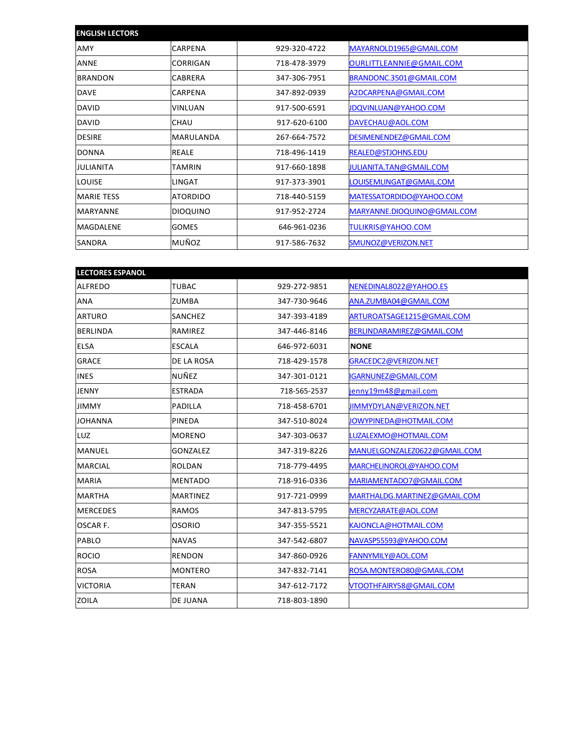| <b>ENGLISH LECTORS</b> |                 |              |                             |
|------------------------|-----------------|--------------|-----------------------------|
| AMY                    | CARPENA         | 929-320-4722 | MAYARNOLD1965@GMAIL.COM     |
| <b>ANNE</b>            | CORRIGAN        | 718-478-3979 | OURLITTLEANNIE@GMAIL.COM    |
| <b>BRANDON</b>         | CABRERA         | 347-306-7951 | BRANDONC.3501@GMAIL.COM     |
| <b>DAVE</b>            | CARPENA         | 347-892-0939 | A2DCARPENA@GMAIL.COM        |
| <b>DAVID</b>           | <b>VINLUAN</b>  | 917-500-6591 | <b>JDQVINLUAN@YAHOO.COM</b> |
| <b>DAVID</b>           | <b>CHAU</b>     | 917-620-6100 | DAVECHAU@AOL.COM            |
| <b>DESIRE</b>          | MARULANDA       | 267-664-7572 | DESIMENENDEZ@GMAIL.COM      |
| <b>DONNA</b>           | <b>REALE</b>    | 718-496-1419 | <b>REALED@STJOHNS.EDU</b>   |
| <b>JULIANITA</b>       | <b>TAMRIN</b>   | 917-660-1898 | JULIANITA.TAN@GMAIL.COM     |
| <b>LOUISE</b>          | LINGAT          | 917-373-3901 | LOUISEMLINGAT@GMAIL.COM     |
| <b>MARIE TESS</b>      | <b>ATORDIDO</b> | 718-440-5159 | MATESSATORDIDO@YAHOO.COM    |
| <b>MARYANNE</b>        | <b>DIOQUINO</b> | 917-952-2724 | MARYANNE.DIOQUINO@GMAIL.COM |
| MAGDALENE              | <b>GOMES</b>    | 646-961-0236 | <b>TULIKRIS@YAHOO.COM</b>   |
| <b>SANDRA</b>          | MUÑOZ           | 917-586-7632 | SMUNOZ@VERIZON.NET          |

| <b>LECTORES ESPANOL</b> |                 |              |                              |
|-------------------------|-----------------|--------------|------------------------------|
| <b>ALFREDO</b>          | <b>TUBAC</b>    | 929-272-9851 | NENEDINAL8022@YAHOO.ES       |
| ANA                     | ZUMBA           | 347-730-9646 | ANA.ZUMBA04@GMAIL.COM        |
| <b>ARTURO</b>           | SANCHEZ         | 347-393-4189 | ARTUROATSAGE1215@GMAIL.COM   |
| <b>BERLINDA</b>         | RAMIREZ         | 347-446-8146 | BERLINDARAMIREZ@GMAIL.COM    |
| <b>ELSA</b>             | <b>ESCALA</b>   | 646-972-6031 | <b>NONE</b>                  |
| <b>GRACE</b>            | DE LA ROSA      | 718-429-1578 | GRACEDC2@VERIZON.NET         |
| <b>INES</b>             | NUÑEZ           | 347-301-0121 | IGARNUNEZ@GMAIL.COM          |
| <b>JENNY</b>            | <b>ESTRADA</b>  | 718-565-2537 | jenny19m48@gmail.com         |
| <b>JIMMY</b>            | <b>PADILLA</b>  | 718-458-6701 | JIMMYDYLAN@VERIZON.NET       |
| <b>JOHANNA</b>          | PINEDA          | 347-510-8024 | JOWYPINEDA@HOTMAIL.COM       |
| <b>LUZ</b>              | <b>MORENO</b>   | 347-303-0637 | LUZALEXMO@HOTMAIL.COM        |
| <b>MANUEL</b>           | <b>GONZALEZ</b> | 347-319-8226 | MANUELGONZALEZ0622@GMAIL.COM |
| <b>MARCIAL</b>          | <b>ROLDAN</b>   | 718-779-4495 | MARCHELINOROL@YAHOO.COM      |
| <b>MARIA</b>            | <b>MENTADO</b>  | 718-916-0336 | MARIAMENTADO7@GMAIL.COM      |
| <b>MARTHA</b>           | <b>MARTINEZ</b> | 917-721-0999 | MARTHALDG.MARTINEZ@GMAIL.COM |
| <b>MERCEDES</b>         | <b>RAMOS</b>    | 347-813-5795 | MERCYZARATE@AOL.COM          |
| OSCAR F.                | <b>OSORIO</b>   | 347-355-5521 | KAJONCLA@HOTMAIL.COM         |
| PABLO                   | <b>NAVAS</b>    | 347-542-6807 | NAVASP55593@YAHOO.COM        |
| <b>ROCIO</b>            | <b>RENDON</b>   | 347-860-0926 | FANNYMILY@AOL.COM            |
| <b>ROSA</b>             | <b>MONTERO</b>  | 347-832-7141 | ROSA.MONTERO80@GMAIL.COM     |
| <b>VICTORIA</b>         | <b>TERAN</b>    | 347-612-7172 | VTOOTHFAIRY58@GMAIL.COM      |
| <b>ZOILA</b>            | DE JUANA        | 718-803-1890 |                              |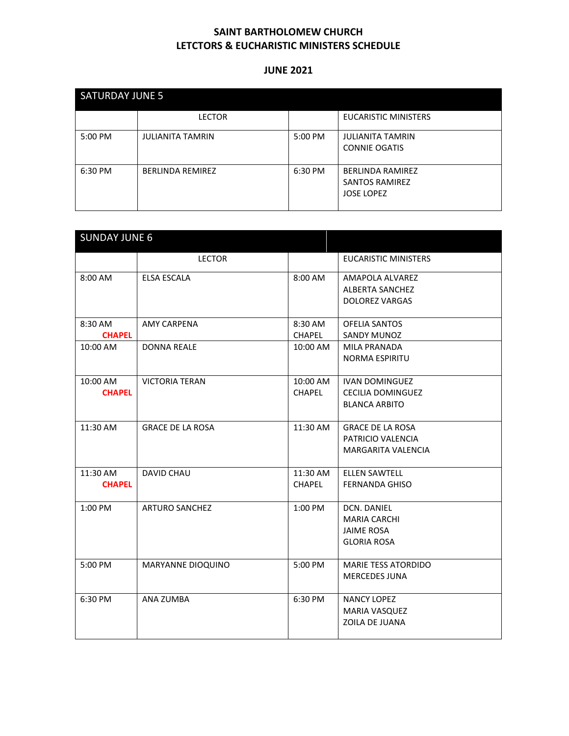| <b>SATURDAY JUNE 5</b> |                         |         |                                                                       |  |
|------------------------|-------------------------|---------|-----------------------------------------------------------------------|--|
|                        | <b>LECTOR</b>           |         | <b>EUCARISTIC MINISTERS</b>                                           |  |
| 5:00 PM                | <b>JULIANITA TAMRIN</b> | 5:00 PM | <b>JULIANITA TAMRIN</b><br><b>CONNIE OGATIS</b>                       |  |
| 6:30 PM                | <b>BERLINDA REMIREZ</b> | 6:30 PM | <b>BERLINDA RAMIREZ</b><br><b>SANTOS RAMIREZ</b><br><b>JOSE LOPEZ</b> |  |

| <b>SUNDAY JUNE 6</b>      |                          |                           |                                                                               |
|---------------------------|--------------------------|---------------------------|-------------------------------------------------------------------------------|
|                           | <b>LECTOR</b>            |                           | <b>EUCARISTIC MINISTERS</b>                                                   |
| 8:00 AM                   | <b>ELSA ESCALA</b>       | 8:00 AM                   | AMAPOLA ALVAREZ<br><b>ALBERTA SANCHEZ</b><br><b>DOLOREZ VARGAS</b>            |
| 8:30 AM<br><b>CHAPEL</b>  | <b>AMY CARPENA</b>       | 8:30 AM<br><b>CHAPEL</b>  | <b>OFELIA SANTOS</b><br><b>SANDY MUNOZ</b>                                    |
| 10:00 AM                  | <b>DONNA REALE</b>       | 10:00 AM                  | <b>MILA PRANADA</b><br><b>NORMA ESPIRITU</b>                                  |
| 10:00 AM<br><b>CHAPEL</b> | <b>VICTORIA TERAN</b>    | 10:00 AM<br><b>CHAPEL</b> | <b>IVAN DOMINGUEZ</b><br><b>CECILIA DOMINGUEZ</b><br><b>BLANCA ARBITO</b>     |
| 11:30 AM                  | <b>GRACE DE LA ROSA</b>  | 11:30 AM                  | <b>GRACE DE LA ROSA</b><br>PATRICIO VALENCIA<br><b>MARGARITA VALENCIA</b>     |
| 11:30 AM<br><b>CHAPEL</b> | <b>DAVID CHAU</b>        | 11:30 AM<br><b>CHAPEL</b> | <b>ELLEN SAWTELL</b><br><b>FERNANDA GHISO</b>                                 |
| 1:00 PM                   | <b>ARTURO SANCHEZ</b>    | 1:00 PM                   | DCN. DANIEL<br><b>MARIA CARCHI</b><br><b>JAIME ROSA</b><br><b>GLORIA ROSA</b> |
| 5:00 PM                   | <b>MARYANNE DIOQUINO</b> | 5:00 PM                   | MARIE TESS ATORDIDO<br><b>MERCEDES JUNA</b>                                   |
| 6:30 PM                   | ANA ZUMBA                | 6:30 PM                   | <b>NANCY LOPEZ</b><br>MARIA VASQUEZ<br>ZOILA DE JUANA                         |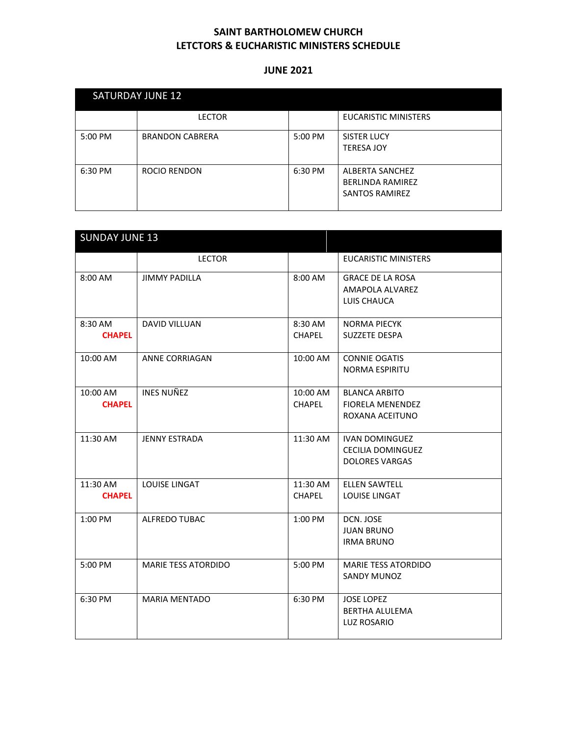| <b>SATURDAY JUNE 12</b> |                        |         |                                                                     |  |
|-------------------------|------------------------|---------|---------------------------------------------------------------------|--|
|                         | <b>LECTOR</b>          |         | <b>EUCARISTIC MINISTERS</b>                                         |  |
| 5:00 PM                 | <b>BRANDON CABRERA</b> | 5:00 PM | <b>SISTER LUCY</b><br><b>TERESA JOY</b>                             |  |
| 6:30 PM                 | ROCIO RENDON           | 6:30 PM | ALBERTA SANCHEZ<br><b>BERLINDA RAMIREZ</b><br><b>SANTOS RAMIREZ</b> |  |

| <b>SUNDAY JUNE 13</b>     |                            |                           |                                                                            |
|---------------------------|----------------------------|---------------------------|----------------------------------------------------------------------------|
|                           | <b>LECTOR</b>              |                           | <b>EUCARISTIC MINISTERS</b>                                                |
| 8:00 AM                   | <b>JIMMY PADILLA</b>       | 8:00 AM                   | <b>GRACE DE LA ROSA</b><br>AMAPOLA ALVAREZ<br>LUIS CHAUCA                  |
| 8:30 AM<br><b>CHAPEL</b>  | <b>DAVID VILLUAN</b>       | 8:30 AM<br><b>CHAPEL</b>  | <b>NORMA PIECYK</b><br><b>SUZZETE DESPA</b>                                |
| 10:00 AM                  | ANNE CORRIAGAN             | 10:00 AM                  | <b>CONNIE OGATIS</b><br><b>NORMA ESPIRITU</b>                              |
| 10:00 AM<br><b>CHAPEL</b> | <b>INES NUÑEZ</b>          | 10:00 AM<br><b>CHAPEL</b> | <b>BLANCA ARBITO</b><br><b>FIORELA MENENDEZ</b><br>ROXANA ACEITUNO         |
| 11:30 AM                  | <b>JENNY ESTRADA</b>       | 11:30 AM                  | <b>IVAN DOMINGUEZ</b><br><b>CECILIA DOMINGUEZ</b><br><b>DOLORES VARGAS</b> |
| 11:30 AM<br><b>CHAPEL</b> | <b>LOUISE LINGAT</b>       | 11:30 AM<br><b>CHAPEL</b> | <b>ELLEN SAWTELL</b><br><b>LOUISE LINGAT</b>                               |
| 1:00 PM                   | <b>ALFREDO TUBAC</b>       | 1:00 PM                   | DCN. JOSE<br><b>JUAN BRUNO</b><br><b>IRMA BRUNO</b>                        |
| 5:00 PM                   | <b>MARIE TESS ATORDIDO</b> | 5:00 PM                   | <b>MARIE TESS ATORDIDO</b><br><b>SANDY MUNOZ</b>                           |
| 6:30 PM                   | <b>MARIA MENTADO</b>       | 6:30 PM                   | <b>JOSE LOPEZ</b><br><b>BERTHA ALULEMA</b><br><b>LUZ ROSARIO</b>           |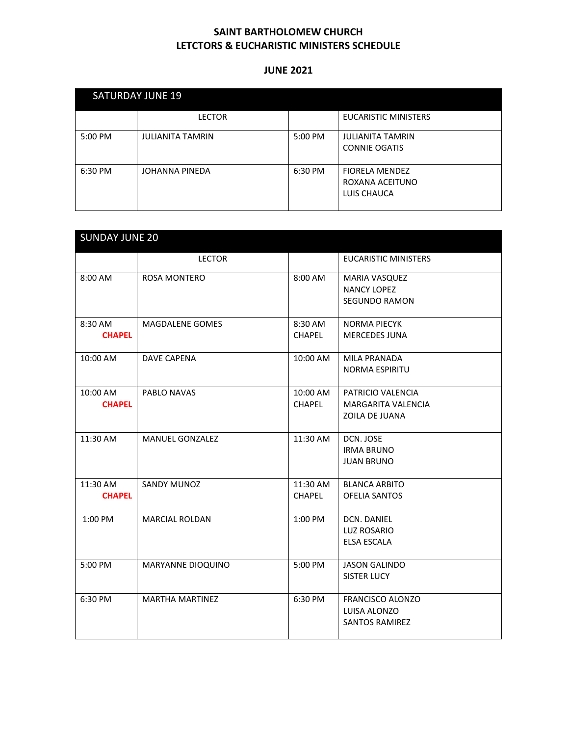| <b>SATURDAY JUNE 19</b> |                         |         |                                                         |  |
|-------------------------|-------------------------|---------|---------------------------------------------------------|--|
|                         | <b>LECTOR</b>           |         | <b>EUCARISTIC MINISTERS</b>                             |  |
| 5:00 PM                 | <b>JULIANITA TAMRIN</b> | 5:00 PM | <b>JULIANITA TAMRIN</b><br><b>CONNIE OGATIS</b>         |  |
| 6:30 PM                 | JOHANNA PINEDA          | 6:30 PM | <b>FIORELA MENDEZ</b><br>ROXANA ACEITUNO<br>LUIS CHAUCA |  |

| <b>SUNDAY JUNE 20</b>     |                        |                           |                                                                    |  |
|---------------------------|------------------------|---------------------------|--------------------------------------------------------------------|--|
|                           | <b>LECTOR</b>          |                           | <b>EUCARISTIC MINISTERS</b>                                        |  |
| 8:00 AM                   | ROSA MONTERO           | 8:00 AM                   | <b>MARIA VASQUEZ</b><br><b>NANCY LOPEZ</b><br><b>SEGUNDO RAMON</b> |  |
| 8:30 AM<br><b>CHAPEL</b>  | MAGDALENE GOMES        | 8:30 AM<br><b>CHAPEL</b>  | <b>NORMA PIECYK</b><br><b>MERCEDES JUNA</b>                        |  |
| 10:00 AM                  | <b>DAVE CAPENA</b>     | 10:00 AM                  | <b>MILA PRANADA</b><br><b>NORMA ESPIRITU</b>                       |  |
| 10:00 AM<br><b>CHAPEL</b> | PABLO NAVAS            | 10:00 AM<br><b>CHAPEL</b> | PATRICIO VALENCIA<br><b>MARGARITA VALENCIA</b><br>ZOILA DE JUANA   |  |
| 11:30 AM                  | <b>MANUEL GONZALEZ</b> | 11:30 AM                  | DCN. JOSE<br><b>IRMA BRUNO</b><br><b>JUAN BRUNO</b>                |  |
| 11:30 AM<br><b>CHAPEL</b> | <b>SANDY MUNOZ</b>     | 11:30 AM<br><b>CHAPEL</b> | <b>BLANCA ARBITO</b><br><b>OFELIA SANTOS</b>                       |  |
| 1:00 PM                   | <b>MARCIAL ROLDAN</b>  | $1:00$ PM                 | <b>DCN. DANIEL</b><br><b>LUZ ROSARIO</b><br><b>ELSA ESCALA</b>     |  |
| 5:00 PM                   | MARYANNE DIOQUINO      | 5:00 PM                   | <b>JASON GALINDO</b><br><b>SISTER LUCY</b>                         |  |
| 6:30 PM                   | <b>MARTHA MARTINEZ</b> | 6:30 PM                   | FRANCISCO ALONZO<br>LUISA ALONZO<br><b>SANTOS RAMIREZ</b>          |  |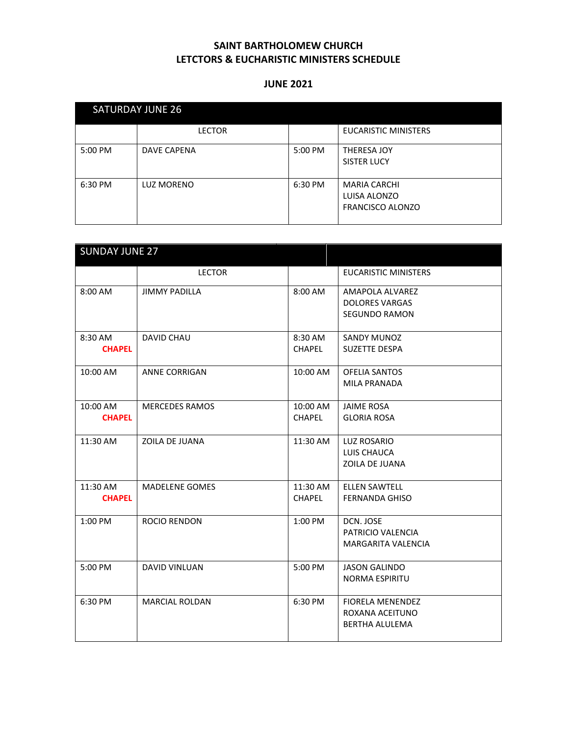| <b>SATURDAY JUNE 26</b> |                    |         |                                                                |  |
|-------------------------|--------------------|---------|----------------------------------------------------------------|--|
|                         | <b>LECTOR</b>      |         | <b>EUCARISTIC MINISTERS</b>                                    |  |
| 5:00 PM                 | <b>DAVE CAPENA</b> | 5:00 PM | THERESA JOY<br><b>SISTER LUCY</b>                              |  |
| 6:30 PM                 | LUZ MORENO         | 6:30 PM | <b>MARIA CARCHI</b><br>LUISA ALONZO<br><b>FRANCISCO ALONZO</b> |  |

| <b>SUNDAY JUNE 27</b>     |                       |                           |                                                                     |
|---------------------------|-----------------------|---------------------------|---------------------------------------------------------------------|
|                           | <b>LECTOR</b>         |                           | <b>EUCARISTIC MINISTERS</b>                                         |
| 8:00 AM                   | <b>JIMMY PADILLA</b>  | 8:00 AM                   | AMAPOLA ALVAREZ<br><b>DOLORES VARGAS</b><br><b>SEGUNDO RAMON</b>    |
| 8:30 AM<br><b>CHAPEL</b>  | <b>DAVID CHAU</b>     | 8:30 AM<br><b>CHAPEL</b>  | <b>SANDY MUNOZ</b><br><b>SUZETTE DESPA</b>                          |
| 10:00 AM                  | <b>ANNE CORRIGAN</b>  | 10:00 AM                  | <b>OFELIA SANTOS</b><br>MILA PRANADA                                |
| 10:00 AM<br><b>CHAPEL</b> | <b>MERCEDES RAMOS</b> | 10:00 AM<br><b>CHAPEL</b> | <b>JAIME ROSA</b><br><b>GLORIA ROSA</b>                             |
| 11:30 AM                  | ZOILA DE JUANA        | 11:30 AM                  | LUZ ROSARIO<br>LUIS CHAUCA<br>ZOILA DE JUANA                        |
| 11:30 AM<br><b>CHAPEL</b> | <b>MADELENE GOMES</b> | 11:30 AM<br><b>CHAPEL</b> | <b>ELLEN SAWTELL</b><br><b>FERNANDA GHISO</b>                       |
| 1:00 PM                   | <b>ROCIO RENDON</b>   | 1:00 PM                   | DCN. JOSE<br>PATRICIO VALENCIA<br><b>MARGARITA VALENCIA</b>         |
| 5:00 PM                   | <b>DAVID VINLUAN</b>  | 5:00 PM                   | <b>JASON GALINDO</b><br><b>NORMA ESPIRITU</b>                       |
| 6:30 PM                   | <b>MARCIAL ROLDAN</b> | 6:30 PM                   | <b>FIORELA MENENDEZ</b><br>ROXANA ACEITUNO<br><b>BERTHA ALULEMA</b> |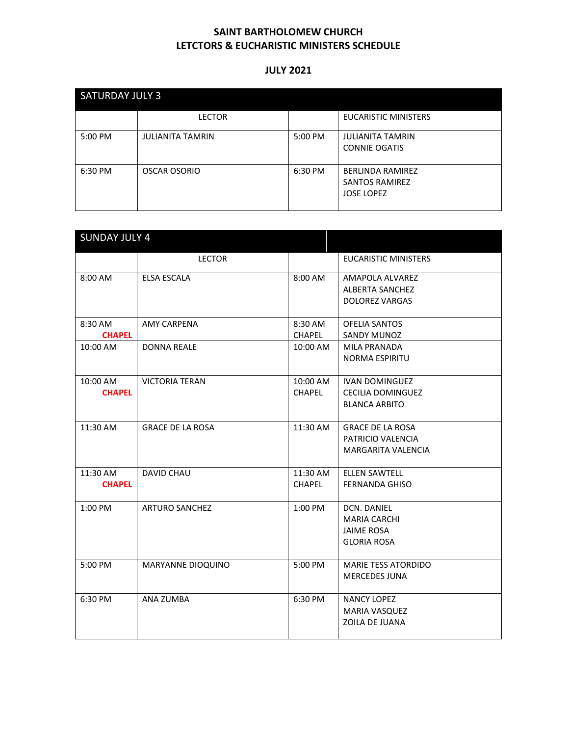| <b>SATURDAY JULY 3</b> |                         |         |                                                                       |  |
|------------------------|-------------------------|---------|-----------------------------------------------------------------------|--|
|                        | <b>LECTOR</b>           |         | <b>EUCARISTIC MINISTERS</b>                                           |  |
| 5:00 PM                | <b>JULIANITA TAMRIN</b> | 5:00 PM | <b>JULIANITA TAMRIN</b><br><b>CONNIE OGATIS</b>                       |  |
| 6:30 PM                | OSCAR OSORIO            | 6:30 PM | <b>BERLINDA RAMIREZ</b><br><b>SANTOS RAMIREZ</b><br><b>JOSE LOPEZ</b> |  |

| <b>SUNDAY JULY 4</b>      |                         |                           |                                                                               |  |
|---------------------------|-------------------------|---------------------------|-------------------------------------------------------------------------------|--|
|                           | <b>LECTOR</b>           |                           | <b>EUCARISTIC MINISTERS</b>                                                   |  |
| 8:00 AM                   | <b>ELSA ESCALA</b>      | 8:00 AM                   | AMAPOLA ALVAREZ<br><b>ALBERTA SANCHEZ</b><br><b>DOLOREZ VARGAS</b>            |  |
| 8:30 AM<br><b>CHAPEL</b>  | <b>AMY CARPENA</b>      | 8:30 AM<br><b>CHAPEL</b>  | <b>OFELIA SANTOS</b><br>SANDY MUNOZ                                           |  |
| 10:00 AM                  | <b>DONNA REALE</b>      | 10:00 AM                  | <b>MILA PRANADA</b><br><b>NORMA ESPIRITU</b>                                  |  |
| 10:00 AM<br><b>CHAPEL</b> | <b>VICTORIA TERAN</b>   | 10:00 AM<br><b>CHAPEL</b> | <b>IVAN DOMINGUEZ</b><br><b>CECILIA DOMINGUEZ</b><br><b>BLANCA ARBITO</b>     |  |
| 11:30 AM                  | <b>GRACE DE LA ROSA</b> | 11:30 AM                  | <b>GRACE DE LA ROSA</b><br>PATRICIO VALENCIA<br>MARGARITA VALENCIA            |  |
| 11:30 AM<br><b>CHAPEL</b> | <b>DAVID CHAU</b>       | 11:30 AM<br><b>CHAPEL</b> | <b>ELLEN SAWTELL</b><br><b>FERNANDA GHISO</b>                                 |  |
| 1:00 PM                   | <b>ARTURO SANCHEZ</b>   | 1:00 PM                   | DCN. DANIEL<br><b>MARIA CARCHI</b><br><b>JAIME ROSA</b><br><b>GLORIA ROSA</b> |  |
| 5:00 PM                   | MARYANNE DIOQUINO       | 5:00 PM                   | <b>MARIE TESS ATORDIDO</b><br><b>MERCEDES JUNA</b>                            |  |
| 6:30 PM                   | ANA ZUMBA               | 6:30 PM                   | <b>NANCY LOPEZ</b><br>MARIA VASQUEZ<br>ZOILA DE JUANA                         |  |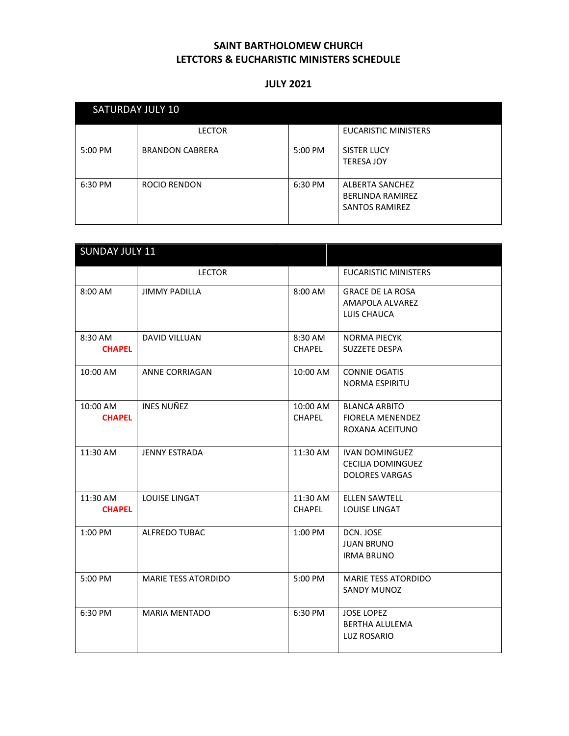| SATURDAY JULY 10 |                        |         |                                                                     |  |
|------------------|------------------------|---------|---------------------------------------------------------------------|--|
|                  | <b>LECTOR</b>          |         | <b>EUCARISTIC MINISTERS</b>                                         |  |
| 5:00 PM          | <b>BRANDON CABRERA</b> | 5:00 PM | <b>SISTER LUCY</b><br><b>TERESA JOY</b>                             |  |
| 6:30 PM          | ROCIO RENDON           | 6:30 PM | ALBERTA SANCHEZ<br><b>BERLINDA RAMIREZ</b><br><b>SANTOS RAMIREZ</b> |  |

| <b>SUNDAY JULY 11</b>     |                            |                           |                                                                            |
|---------------------------|----------------------------|---------------------------|----------------------------------------------------------------------------|
|                           | <b>LECTOR</b>              |                           | <b>EUCARISTIC MINISTERS</b>                                                |
| 8:00 AM                   | <b>JIMMY PADILLA</b>       | 8:00 AM                   | <b>GRACE DE LA ROSA</b><br>AMAPOLA ALVAREZ<br>LUIS CHAUCA                  |
| 8:30 AM<br><b>CHAPEL</b>  | DAVID VILLUAN              | 8:30 AM<br><b>CHAPEL</b>  | <b>NORMA PIECYK</b><br><b>SUZZETE DESPA</b>                                |
| 10:00 AM                  | <b>ANNE CORRIAGAN</b>      | 10:00 AM                  | <b>CONNIE OGATIS</b><br><b>NORMA ESPIRITU</b>                              |
| 10:00 AM<br><b>CHAPEL</b> | <b>INES NUÑEZ</b>          | 10:00 AM<br><b>CHAPEL</b> | <b>BLANCA ARBITO</b><br><b>FIORELA MENENDEZ</b><br>ROXANA ACEITUNO         |
| 11:30 AM                  | <b>JENNY ESTRADA</b>       | 11:30 AM                  | <b>IVAN DOMINGUEZ</b><br><b>CECILIA DOMINGUEZ</b><br><b>DOLORES VARGAS</b> |
| 11:30 AM<br><b>CHAPEL</b> | LOUISE LINGAT              | 11:30 AM<br><b>CHAPEL</b> | <b>ELLEN SAWTELL</b><br><b>LOUISE LINGAT</b>                               |
| 1:00 PM                   | <b>ALFREDO TUBAC</b>       | 1:00 PM                   | DCN. JOSE<br><b>JUAN BRUNO</b><br><b>IRMA BRUNO</b>                        |
| 5:00 PM                   | <b>MARIE TESS ATORDIDO</b> | 5:00 PM                   | <b>MARIE TESS ATORDIDO</b><br>SANDY MUNOZ                                  |
| 6:30 PM                   | <b>MARIA MENTADO</b>       | 6:30 PM                   | <b>JOSE LOPEZ</b><br><b>BERTHA ALULEMA</b><br><b>LUZ ROSARIO</b>           |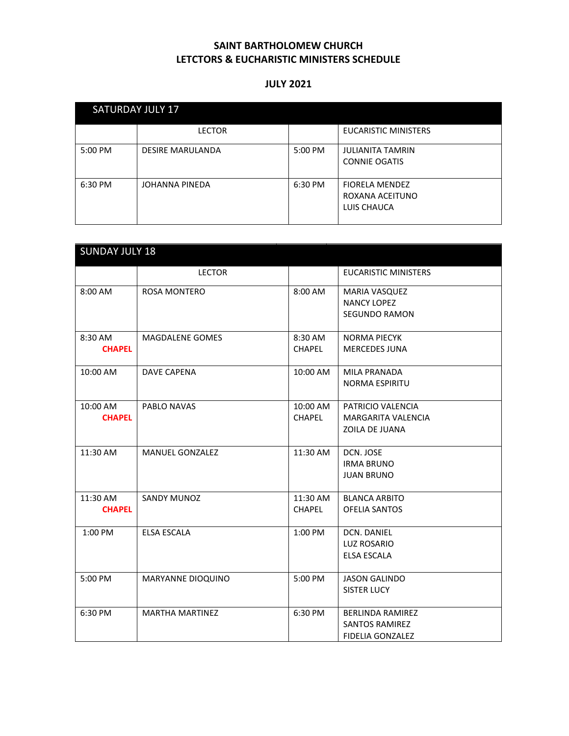| <b>SATURDAY JULY 17</b> |                         |         |                                                         |  |
|-------------------------|-------------------------|---------|---------------------------------------------------------|--|
|                         | <b>LECTOR</b>           |         | <b>EUCARISTIC MINISTERS</b>                             |  |
| $5:00 \text{ PM}$       | <b>DESIRE MARULANDA</b> | 5:00 PM | <b>JULIANITA TAMRIN</b><br><b>CONNIE OGATIS</b>         |  |
| 6:30 PM                 | JOHANNA PINEDA          | 6:30 PM | <b>FIORELA MENDEZ</b><br>ROXANA ACEITUNO<br>LUIS CHAUCA |  |

| <b>SUNDAY JULY 18</b>     |                        |                           |                                                                             |
|---------------------------|------------------------|---------------------------|-----------------------------------------------------------------------------|
|                           | <b>LECTOR</b>          |                           | <b>EUCARISTIC MINISTERS</b>                                                 |
| 8:00 AM                   | <b>ROSA MONTERO</b>    | 8:00 AM                   | <b>MARIA VASQUEZ</b><br><b>NANCY LOPEZ</b><br><b>SEGUNDO RAMON</b>          |
| 8:30 AM<br><b>CHAPEL</b>  | <b>MAGDALENE GOMES</b> | 8:30 AM<br><b>CHAPEL</b>  | <b>NORMA PIECYK</b><br><b>MERCEDES JUNA</b>                                 |
| 10:00 AM                  | <b>DAVE CAPENA</b>     | 10:00 AM                  | <b>MILA PRANADA</b><br><b>NORMA ESPIRITU</b>                                |
| 10:00 AM<br><b>CHAPEL</b> | PABLO NAVAS            | 10:00 AM<br><b>CHAPEL</b> | PATRICIO VALENCIA<br><b>MARGARITA VALENCIA</b><br>ZOILA DE JUANA            |
| 11:30 AM                  | <b>MANUEL GONZALEZ</b> | 11:30 AM                  | DCN. JOSE<br><b>IRMA BRUNO</b><br><b>JUAN BRUNO</b>                         |
| 11:30 AM<br><b>CHAPEL</b> | SANDY MUNOZ            | 11:30 AM<br><b>CHAPEL</b> | <b>BLANCA ARBITO</b><br><b>OFELIA SANTOS</b>                                |
| 1:00 PM                   | <b>ELSA ESCALA</b>     | 1:00 PM                   | <b>DCN. DANIEL</b><br><b>LUZ ROSARIO</b><br><b>ELSA ESCALA</b>              |
| 5:00 PM                   | MARYANNE DIOQUINO      | 5:00 PM                   | <b>JASON GALINDO</b><br><b>SISTER LUCY</b>                                  |
| 6:30 PM                   | <b>MARTHA MARTINEZ</b> | 6:30 PM                   | <b>BERLINDA RAMIREZ</b><br><b>SANTOS RAMIREZ</b><br><b>FIDELIA GONZALEZ</b> |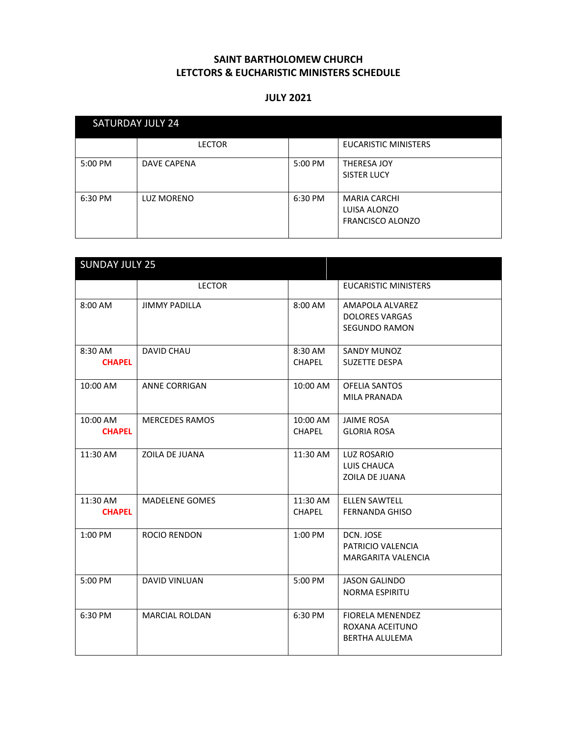| <b>SATURDAY JULY 24</b> |                    |         |                                                                |  |
|-------------------------|--------------------|---------|----------------------------------------------------------------|--|
|                         | <b>LECTOR</b>      |         | <b>EUCARISTIC MINISTERS</b>                                    |  |
| 5:00 PM                 | <b>DAVE CAPENA</b> | 5:00 PM | <b>THERESA JOY</b><br><b>SISTER LUCY</b>                       |  |
| 6:30 PM                 | LUZ MORENO         | 6:30 PM | <b>MARIA CARCHI</b><br>LUISA ALONZO<br><b>FRANCISCO ALONZO</b> |  |

|                           | <b>SUNDAY JULY 25</b> |                           |                                                                     |  |  |
|---------------------------|-----------------------|---------------------------|---------------------------------------------------------------------|--|--|
|                           | <b>LECTOR</b>         |                           | <b>EUCARISTIC MINISTERS</b>                                         |  |  |
| 8:00 AM                   | <b>JIMMY PADILLA</b>  | 8:00 AM                   | AMAPOLA ALVAREZ<br><b>DOLORES VARGAS</b><br><b>SEGUNDO RAMON</b>    |  |  |
| 8:30 AM<br><b>CHAPEL</b>  | <b>DAVID CHAU</b>     | 8:30 AM<br><b>CHAPEL</b>  | <b>SANDY MUNOZ</b><br><b>SUZETTE DESPA</b>                          |  |  |
| 10:00 AM                  | <b>ANNE CORRIGAN</b>  | 10:00 AM                  | <b>OFELIA SANTOS</b><br><b>MILA PRANADA</b>                         |  |  |
| 10:00 AM<br><b>CHAPEL</b> | <b>MERCEDES RAMOS</b> | 10:00 AM<br><b>CHAPEL</b> | <b>JAIME ROSA</b><br><b>GLORIA ROSA</b>                             |  |  |
| 11:30 AM                  | ZOILA DE JUANA        | 11:30 AM                  | LUZ ROSARIO<br>LUIS CHAUCA<br>ZOILA DE JUANA                        |  |  |
| 11:30 AM<br><b>CHAPEL</b> | <b>MADELENE GOMES</b> | 11:30 AM<br><b>CHAPEL</b> | <b>ELLEN SAWTELL</b><br><b>FERNANDA GHISO</b>                       |  |  |
| 1:00 PM                   | <b>ROCIO RENDON</b>   | 1:00 PM                   | DCN. JOSE<br>PATRICIO VALENCIA<br><b>MARGARITA VALENCIA</b>         |  |  |
| 5:00 PM                   | <b>DAVID VINLUAN</b>  | 5:00 PM                   | <b>JASON GALINDO</b><br><b>NORMA ESPIRITU</b>                       |  |  |
| 6:30 PM                   | <b>MARCIAL ROLDAN</b> | 6:30 PM                   | <b>FIORELA MENENDEZ</b><br>ROXANA ACEITUNO<br><b>BERTHA ALULEMA</b> |  |  |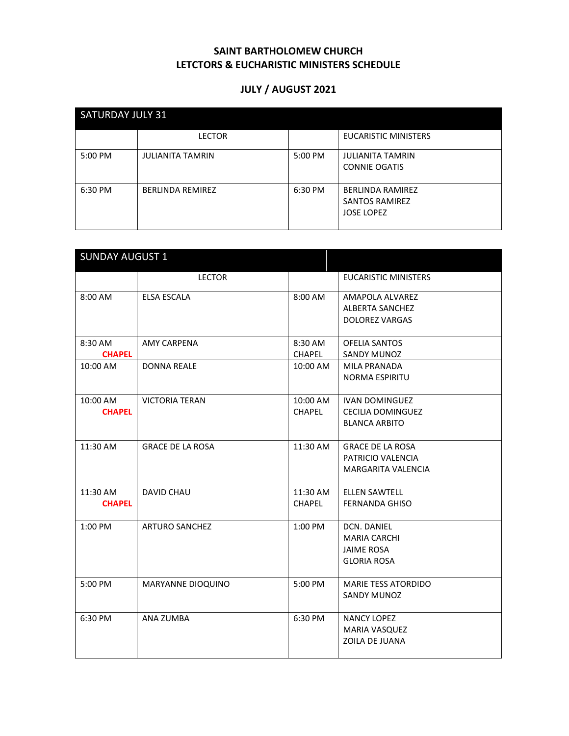# **JULY / AUGUST 2021**

| <b>SATURDAY JULY 31</b> |                         |         |                                                                       |  |
|-------------------------|-------------------------|---------|-----------------------------------------------------------------------|--|
|                         | <b>LECTOR</b>           |         | <b>EUCARISTIC MINISTERS</b>                                           |  |
| 5:00 PM                 | <b>JULIANITA TAMRIN</b> | 5:00 PM | <b>JULIANITA TAMRIN</b><br><b>CONNIE OGATIS</b>                       |  |
| 6:30 PM                 | <b>BERLINDA REMIREZ</b> | 6:30 PM | <b>BERLINDA RAMIREZ</b><br><b>SANTOS RAMIREZ</b><br><b>JOSE LOPEZ</b> |  |

| <b>SUNDAY AUGUST 1</b>    |                         |                           |                                                                               |  |
|---------------------------|-------------------------|---------------------------|-------------------------------------------------------------------------------|--|
|                           | <b>LECTOR</b>           |                           | <b>EUCARISTIC MINISTERS</b>                                                   |  |
| 8:00 AM                   | <b>ELSA ESCALA</b>      | 8:00 AM                   | AMAPOLA ALVAREZ<br><b>ALBERTA SANCHEZ</b><br><b>DOLOREZ VARGAS</b>            |  |
| 8:30 AM<br><b>CHAPEL</b>  | AMY CARPENA             | 8:30 AM<br><b>CHAPEL</b>  | <b>OFELIA SANTOS</b><br><b>SANDY MUNOZ</b>                                    |  |
| 10:00 AM                  | <b>DONNA REALE</b>      | 10:00 AM                  | <b>MILA PRANADA</b><br><b>NORMA ESPIRITU</b>                                  |  |
| 10:00 AM<br><b>CHAPEL</b> | <b>VICTORIA TERAN</b>   | 10:00 AM<br><b>CHAPEL</b> | <b>IVAN DOMINGUEZ</b><br><b>CECILIA DOMINGUEZ</b><br><b>BLANCA ARBITO</b>     |  |
| 11:30 AM                  | <b>GRACE DE LA ROSA</b> | 11:30 AM                  | <b>GRACE DE LA ROSA</b><br>PATRICIO VALENCIA<br><b>MARGARITA VALENCIA</b>     |  |
| 11:30 AM<br><b>CHAPEL</b> | DAVID CHAU              | 11:30 AM<br><b>CHAPEL</b> | <b>ELLEN SAWTELL</b><br><b>FERNANDA GHISO</b>                                 |  |
| 1:00 PM                   | <b>ARTURO SANCHEZ</b>   | 1:00 PM                   | DCN. DANIEL<br><b>MARIA CARCHI</b><br><b>JAIME ROSA</b><br><b>GLORIA ROSA</b> |  |
| 5:00 PM                   | MARYANNE DIOQUINO       | 5:00 PM                   | <b>MARIE TESS ATORDIDO</b><br><b>SANDY MUNOZ</b>                              |  |
| 6:30 PM                   | ANA ZUMBA               | 6:30 PM                   | <b>NANCY LOPEZ</b><br><b>MARIA VASQUEZ</b><br>ZOILA DE JUANA                  |  |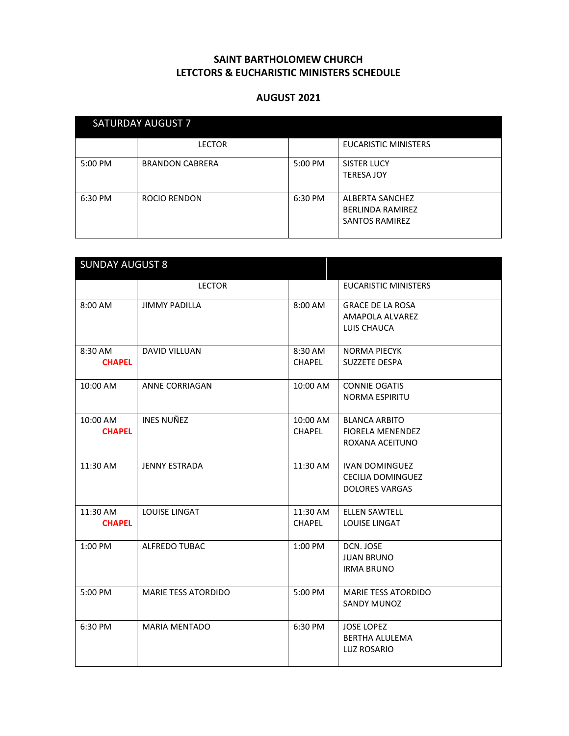| <b>SATURDAY AUGUST 7</b> |                        |         |                                                                     |  |
|--------------------------|------------------------|---------|---------------------------------------------------------------------|--|
|                          | <b>LECTOR</b>          |         | <b>EUCARISTIC MINISTERS</b>                                         |  |
| $5:00$ PM                | <b>BRANDON CABRERA</b> | 5:00 PM | <b>SISTER LUCY</b><br><b>TERESA JOY</b>                             |  |
| 6:30 PM                  | <b>ROCIO RENDON</b>    | 6:30 PM | ALBERTA SANCHEZ<br><b>BERLINDA RAMIREZ</b><br><b>SANTOS RAMIREZ</b> |  |

| <b>SUNDAY AUGUST 8</b>    |                            |                           |                                                                            |
|---------------------------|----------------------------|---------------------------|----------------------------------------------------------------------------|
|                           | <b>LECTOR</b>              |                           | <b>EUCARISTIC MINISTERS</b>                                                |
| 8:00 AM                   | <b>JIMMY PADILLA</b>       | 8:00 AM                   | <b>GRACE DE LA ROSA</b><br>AMAPOLA ALVAREZ<br>LUIS CHAUCA                  |
| 8:30 AM<br><b>CHAPEL</b>  | <b>DAVID VILLUAN</b>       | 8:30 AM<br><b>CHAPEL</b>  | <b>NORMA PIECYK</b><br><b>SUZZETE DESPA</b>                                |
| 10:00 AM                  | <b>ANNE CORRIAGAN</b>      | 10:00 AM                  | <b>CONNIE OGATIS</b><br><b>NORMA ESPIRITU</b>                              |
| 10:00 AM<br><b>CHAPEL</b> | <b>INES NUÑEZ</b>          | 10:00 AM<br><b>CHAPEL</b> | <b>BLANCA ARBITO</b><br><b>FIORELA MENENDEZ</b><br>ROXANA ACEITUNO         |
| 11:30 AM                  | <b>JENNY ESTRADA</b>       | 11:30 AM                  | <b>IVAN DOMINGUEZ</b><br><b>CECILIA DOMINGUEZ</b><br><b>DOLORES VARGAS</b> |
| 11:30 AM<br><b>CHAPEL</b> | <b>LOUISE LINGAT</b>       | 11:30 AM<br><b>CHAPEL</b> | <b>ELLEN SAWTELL</b><br><b>LOUISE LINGAT</b>                               |
| $1:00$ PM                 | ALFREDO TUBAC              | 1:00 PM                   | DCN. JOSE<br><b>JUAN BRUNO</b><br><b>IRMA BRUNO</b>                        |
| 5:00 PM                   | <b>MARIE TESS ATORDIDO</b> | 5:00 PM                   | <b>MARIE TESS ATORDIDO</b><br>SANDY MUNOZ                                  |
| 6:30 PM                   | <b>MARIA MENTADO</b>       | 6:30 PM                   | <b>JOSE LOPEZ</b><br><b>BERTHA ALULEMA</b><br><b>LUZ ROSARIO</b>           |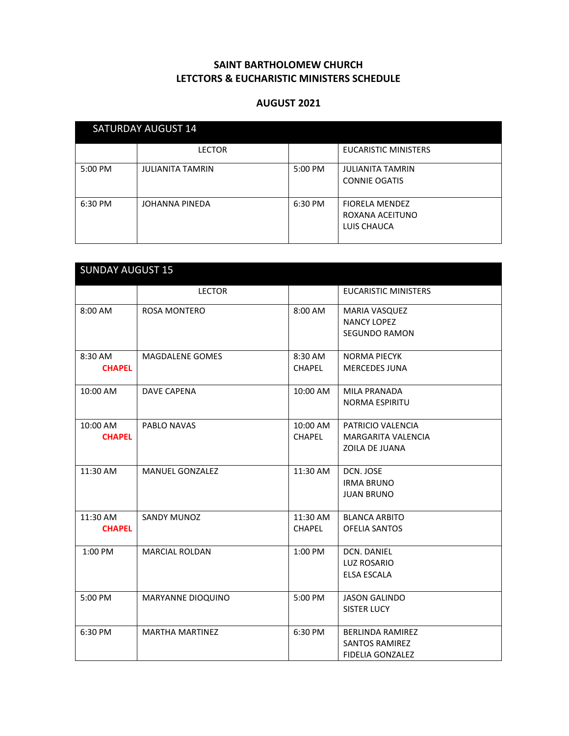| <b>SATURDAY AUGUST 14</b> |                         |         |                                                         |  |
|---------------------------|-------------------------|---------|---------------------------------------------------------|--|
|                           | <b>LECTOR</b>           |         | <b>EUCARISTIC MINISTERS</b>                             |  |
| 5:00 PM                   | <b>JULIANITA TAMRIN</b> | 5:00 PM | <b>JULIANITA TAMRIN</b><br><b>CONNIE OGATIS</b>         |  |
| 6:30 PM                   | JOHANNA PINEDA          | 6:30 PM | <b>FIORELA MENDEZ</b><br>ROXANA ACEITUNO<br>LUIS CHAUCA |  |

| <b>SUNDAY AUGUST 15</b>   |                        |                           |                                                                             |  |
|---------------------------|------------------------|---------------------------|-----------------------------------------------------------------------------|--|
|                           | <b>LECTOR</b>          |                           | <b>EUCARISTIC MINISTERS</b>                                                 |  |
| 8:00 AM                   | <b>ROSA MONTERO</b>    | 8:00 AM                   | MARIA VASQUEZ<br><b>NANCY LOPEZ</b><br><b>SEGUNDO RAMON</b>                 |  |
| 8:30 AM<br><b>CHAPEL</b>  | MAGDALENE GOMES        | 8:30 AM<br>CHAPEL         | <b>NORMA PIECYK</b><br><b>MERCEDES JUNA</b>                                 |  |
| 10:00 AM                  | <b>DAVE CAPENA</b>     | 10:00 AM                  | <b>MILA PRANADA</b><br><b>NORMA ESPIRITU</b>                                |  |
| 10:00 AM<br><b>CHAPEL</b> | PABLO NAVAS            | 10:00 AM<br><b>CHAPEL</b> | PATRICIO VALENCIA<br><b>MARGARITA VALENCIA</b><br>ZOILA DE JUANA            |  |
| 11:30 AM                  | <b>MANUEL GONZALEZ</b> | 11:30 AM                  | DCN. JOSE<br><b>IRMA BRUNO</b><br><b>JUAN BRUNO</b>                         |  |
| 11:30 AM<br><b>CHAPEL</b> | <b>SANDY MUNOZ</b>     | 11:30 AM<br><b>CHAPEL</b> | <b>BLANCA ARBITO</b><br><b>OFELIA SANTOS</b>                                |  |
| 1:00 PM                   | <b>MARCIAL ROLDAN</b>  | 1:00 PM                   | DCN. DANIEL<br><b>LUZ ROSARIO</b><br><b>ELSA ESCALA</b>                     |  |
| 5:00 PM                   | MARYANNE DIOQUINO      | 5:00 PM                   | <b>JASON GALINDO</b><br><b>SISTER LUCY</b>                                  |  |
| 6:30 PM                   | <b>MARTHA MARTINEZ</b> | 6:30 PM                   | <b>BERLINDA RAMIREZ</b><br><b>SANTOS RAMIREZ</b><br><b>FIDELIA GONZALEZ</b> |  |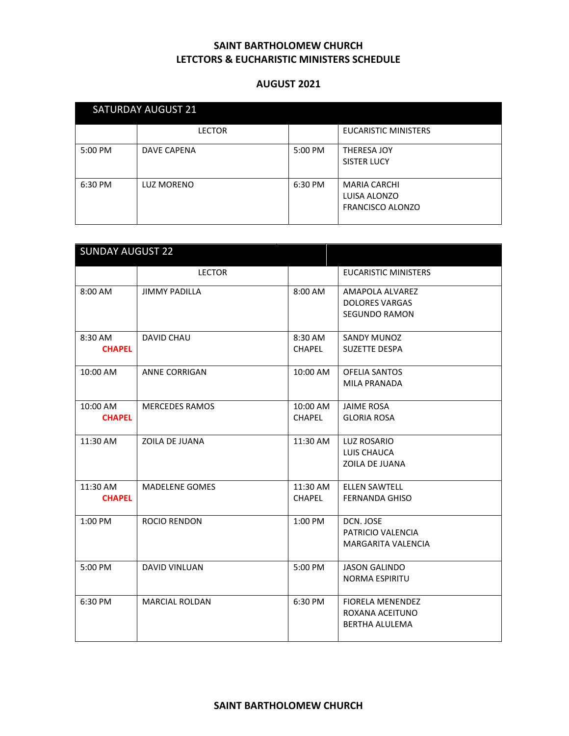| <b>SATURDAY AUGUST 21</b> |                   |         |                                                                |  |
|---------------------------|-------------------|---------|----------------------------------------------------------------|--|
|                           | <b>LECTOR</b>     |         | <b>EUCARISTIC MINISTERS</b>                                    |  |
| 5:00 PM                   | DAVE CAPENA       | 5:00 PM | THERESA JOY<br><b>SISTER LUCY</b>                              |  |
| 6:30 PM                   | <b>LUZ MORENO</b> | 6:30 PM | <b>MARIA CARCHI</b><br>LUISA ALONZO<br><b>FRANCISCO ALONZO</b> |  |

|                           | <b>SUNDAY AUGUST 22</b> |                           |                                                                     |  |  |
|---------------------------|-------------------------|---------------------------|---------------------------------------------------------------------|--|--|
|                           | <b>LECTOR</b>           |                           | <b>EUCARISTIC MINISTERS</b>                                         |  |  |
| 8:00 AM                   | <b>JIMMY PADILLA</b>    | 8:00 AM                   | AMAPOLA ALVAREZ<br><b>DOLORES VARGAS</b><br><b>SEGUNDO RAMON</b>    |  |  |
| 8:30 AM<br><b>CHAPEL</b>  | <b>DAVID CHAU</b>       | 8:30 AM<br><b>CHAPEL</b>  | <b>SANDY MUNOZ</b><br><b>SUZETTE DESPA</b>                          |  |  |
| 10:00 AM                  | <b>ANNE CORRIGAN</b>    | 10:00 AM                  | <b>OFELIA SANTOS</b><br><b>MILA PRANADA</b>                         |  |  |
| 10:00 AM<br><b>CHAPEL</b> | <b>MERCEDES RAMOS</b>   | 10:00 AM<br><b>CHAPEL</b> | <b>JAIME ROSA</b><br><b>GLORIA ROSA</b>                             |  |  |
| 11:30 AM                  | ZOILA DE JUANA          | 11:30 AM                  | LUZ ROSARIO<br>LUIS CHAUCA<br>ZOILA DE JUANA                        |  |  |
| 11:30 AM<br><b>CHAPEL</b> | MADELENE GOMES          | 11:30 AM<br><b>CHAPEL</b> | <b>ELLEN SAWTELL</b><br><b>FERNANDA GHISO</b>                       |  |  |
| 1:00 PM                   | ROCIO RENDON            | 1:00 PM                   | DCN. JOSE<br>PATRICIO VALENCIA<br><b>MARGARITA VALENCIA</b>         |  |  |
| 5:00 PM                   | <b>DAVID VINLUAN</b>    | 5:00 PM                   | <b>JASON GALINDO</b><br><b>NORMA ESPIRITU</b>                       |  |  |
| 6:30 PM                   | <b>MARCIAL ROLDAN</b>   | 6:30 PM                   | <b>FIORELA MENENDEZ</b><br>ROXANA ACEITUNO<br><b>BERTHA ALULEMA</b> |  |  |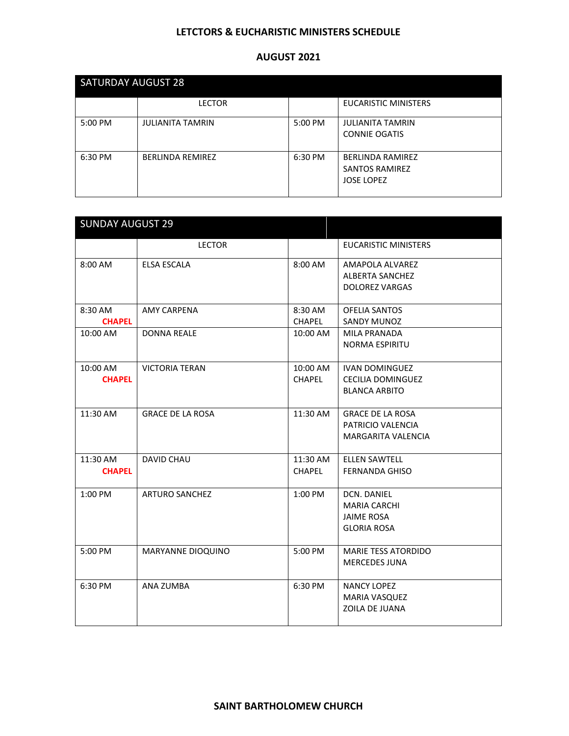### **LETCTORS & EUCHARISTIC MINISTERS SCHEDULE**

| <b>SATURDAY AUGUST 28</b> |                         |         |                                                                       |  |
|---------------------------|-------------------------|---------|-----------------------------------------------------------------------|--|
|                           | <b>LECTOR</b>           |         | <b>EUCARISTIC MINISTERS</b>                                           |  |
| 5:00 PM                   | <b>JULIANITA TAMRIN</b> | 5:00 PM | <b>JULIANITA TAMRIN</b><br><b>CONNIE OGATIS</b>                       |  |
| 6:30 PM                   | <b>BERLINDA REMIREZ</b> | 6:30 PM | <b>BERLINDA RAMIREZ</b><br><b>SANTOS RAMIREZ</b><br><b>JOSE LOPEZ</b> |  |

| <b>SUNDAY AUGUST 29</b>   |                         |                           |                                                                                      |  |
|---------------------------|-------------------------|---------------------------|--------------------------------------------------------------------------------------|--|
|                           | <b>LECTOR</b>           |                           | <b>EUCARISTIC MINISTERS</b>                                                          |  |
| 8:00 AM                   | <b>ELSA ESCALA</b>      | 8:00 AM                   | AMAPOLA ALVAREZ<br><b>ALBERTA SANCHEZ</b><br><b>DOLOREZ VARGAS</b>                   |  |
| 8:30 AM<br><b>CHAPEL</b>  | <b>AMY CARPENA</b>      | 8:30 AM<br><b>CHAPEL</b>  | OFELIA SANTOS<br>SANDY MUNOZ                                                         |  |
| 10:00 AM                  | <b>DONNA REALE</b>      | 10:00 AM                  | <b>MILA PRANADA</b><br>NORMA ESPIRITU                                                |  |
| 10:00 AM<br><b>CHAPEL</b> | <b>VICTORIA TERAN</b>   | 10:00 AM<br><b>CHAPEL</b> | <b>IVAN DOMINGUEZ</b><br>CECILIA DOMINGUEZ<br><b>BLANCA ARBITO</b>                   |  |
| 11:30 AM                  | <b>GRACE DE LA ROSA</b> | 11:30 AM                  | <b>GRACE DE LA ROSA</b><br>PATRICIO VALENCIA<br><b>MARGARITA VALENCIA</b>            |  |
| 11:30 AM<br><b>CHAPEL</b> | <b>DAVID CHAU</b>       | 11:30 AM<br><b>CHAPEL</b> | <b>ELLEN SAWTELL</b><br><b>FERNANDA GHISO</b>                                        |  |
| 1:00 PM                   | <b>ARTURO SANCHEZ</b>   | $1:00$ PM                 | <b>DCN. DANIEL</b><br><b>MARIA CARCHI</b><br><b>JAIME ROSA</b><br><b>GLORIA ROSA</b> |  |
| 5:00 PM                   | MARYANNE DIOQUINO       | 5:00 PM                   | <b>MARIE TESS ATORDIDO</b><br><b>MERCEDES JUNA</b>                                   |  |
| 6:30 PM                   | ANA ZUMBA               | 6:30 PM                   | <b>NANCY LOPEZ</b><br><b>MARIA VASQUEZ</b><br>ZOILA DE JUANA                         |  |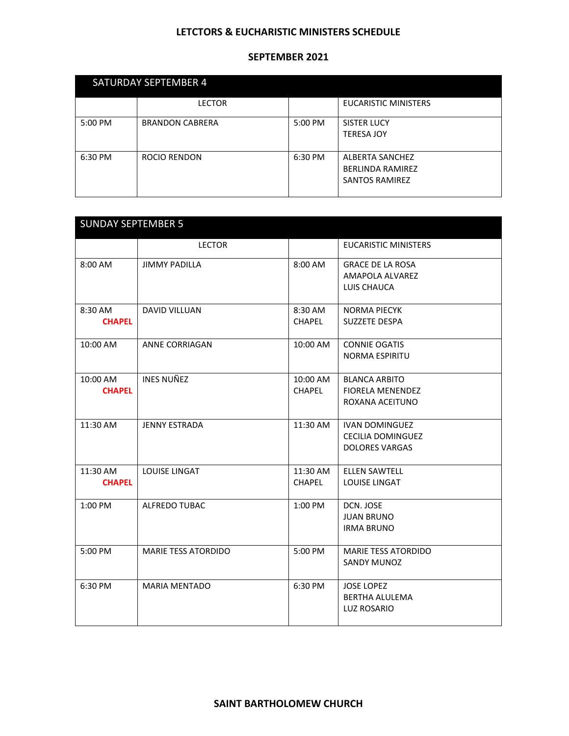### **LETCTORS & EUCHARISTIC MINISTERS SCHEDULE**

| <b>SATURDAY SEPTEMBER 4</b> |                        |         |                                                                     |  |
|-----------------------------|------------------------|---------|---------------------------------------------------------------------|--|
|                             | <b>LECTOR</b>          |         | <b>EUCARISTIC MINISTERS</b>                                         |  |
| 5:00 PM                     | <b>BRANDON CABRERA</b> | 5:00 PM | SISTER LUCY<br><b>TERESA JOY</b>                                    |  |
| 6:30 PM                     | ROCIO RENDON           | 6:30 PM | ALBERTA SANCHEZ<br><b>BERLINDA RAMIREZ</b><br><b>SANTOS RAMIREZ</b> |  |

| <b>SUNDAY SEPTEMBER 5</b> |                            |                           |                                                                            |
|---------------------------|----------------------------|---------------------------|----------------------------------------------------------------------------|
|                           | <b>LECTOR</b>              |                           | <b>EUCARISTIC MINISTERS</b>                                                |
| 8:00 AM                   | <b>JIMMY PADILLA</b>       | 8:00 AM                   | <b>GRACE DE LA ROSA</b><br>AMAPOLA ALVAREZ<br>LUIS CHAUCA                  |
| 8:30 AM<br><b>CHAPEL</b>  | <b>DAVID VILLUAN</b>       | 8:30 AM<br><b>CHAPEL</b>  | <b>NORMA PIECYK</b><br><b>SUZZETE DESPA</b>                                |
| 10:00 AM                  | <b>ANNE CORRIAGAN</b>      | 10:00 AM                  | <b>CONNIE OGATIS</b><br><b>NORMA ESPIRITU</b>                              |
| 10:00 AM<br><b>CHAPEL</b> | <b>INES NUÑEZ</b>          | 10:00 AM<br><b>CHAPEL</b> | <b>BLANCA ARBITO</b><br><b>FIORELA MENENDEZ</b><br>ROXANA ACEITUNO         |
| 11:30 AM                  | <b>JENNY ESTRADA</b>       | 11:30 AM                  | <b>IVAN DOMINGUEZ</b><br><b>CECILIA DOMINGUEZ</b><br><b>DOLORES VARGAS</b> |
| 11:30 AM<br><b>CHAPEL</b> | LOUISE LINGAT              | 11:30 AM<br><b>CHAPEL</b> | <b>ELLEN SAWTELL</b><br><b>LOUISE LINGAT</b>                               |
| 1:00 PM                   | <b>ALFREDO TUBAC</b>       | $1:00$ PM                 | DCN. JOSE<br><b>JUAN BRUNO</b><br><b>IRMA BRUNO</b>                        |
| 5:00 PM                   | <b>MARIE TESS ATORDIDO</b> | 5:00 PM                   | <b>MARIE TESS ATORDIDO</b><br><b>SANDY MUNOZ</b>                           |
| 6:30 PM                   | <b>MARIA MENTADO</b>       | 6:30 PM                   | <b>JOSE LOPEZ</b><br><b>BERTHA ALULEMA</b><br><b>LUZ ROSARIO</b>           |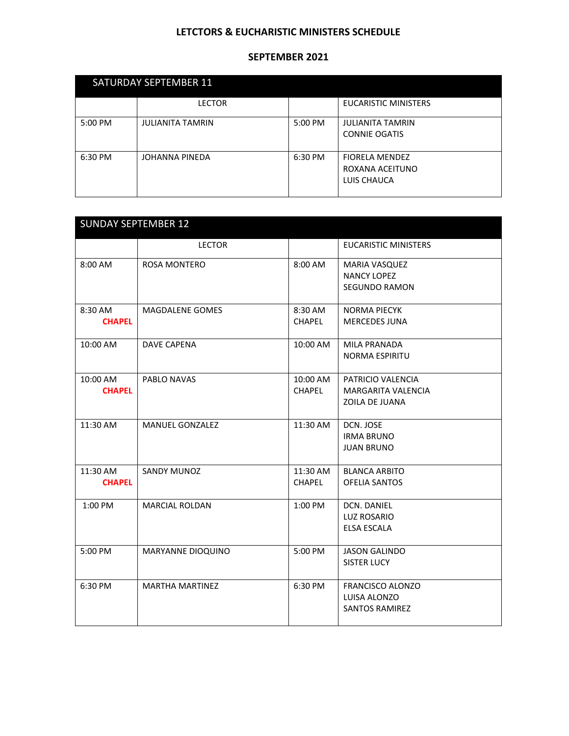### **LETCTORS & EUCHARISTIC MINISTERS SCHEDULE**

| <b>SATURDAY SEPTEMBER 11</b> |                         |         |                                                         |  |
|------------------------------|-------------------------|---------|---------------------------------------------------------|--|
|                              | <b>LECTOR</b>           |         | <b>EUCARISTIC MINISTERS</b>                             |  |
| 5:00 PM                      | <b>JULIANITA TAMRIN</b> | 5:00 PM | <b>JULIANITA TAMRIN</b><br><b>CONNIE OGATIS</b>         |  |
| 6:30 PM                      | JOHANNA PINEDA          | 6:30 PM | <b>FIORELA MENDEZ</b><br>ROXANA ACEITUNO<br>LUIS CHAUCA |  |

| <b>SUNDAY SEPTEMBER 12</b> |                        |                           |                                                                  |
|----------------------------|------------------------|---------------------------|------------------------------------------------------------------|
|                            | <b>LECTOR</b>          |                           | <b>EUCARISTIC MINISTERS</b>                                      |
| 8:00 AM                    | ROSA MONTERO           | 8:00 AM                   | MARIA VASQUEZ<br><b>NANCY LOPEZ</b><br><b>SEGUNDO RAMON</b>      |
| 8:30 AM<br><b>CHAPEL</b>   | <b>MAGDALENE GOMES</b> | 8:30 AM<br><b>CHAPEL</b>  | <b>NORMA PIECYK</b><br><b>MERCEDES JUNA</b>                      |
| 10:00 AM                   | <b>DAVE CAPENA</b>     | 10:00 AM                  | MILA PRANADA<br><b>NORMA ESPIRITU</b>                            |
| 10:00 AM<br><b>CHAPEL</b>  | PABLO NAVAS            | 10:00 AM<br><b>CHAPEL</b> | PATRICIO VALENCIA<br>MARGARITA VALENCIA<br>ZOILA DE JUANA        |
| 11:30 AM                   | <b>MANUEL GONZALEZ</b> | 11:30 AM                  | DCN. JOSE<br><b>IRMA BRUNO</b><br><b>JUAN BRUNO</b>              |
| 11:30 AM<br><b>CHAPEL</b>  | <b>SANDY MUNOZ</b>     | 11:30 AM<br><b>CHAPEL</b> | <b>BLANCA ARBITO</b><br><b>OFELIA SANTOS</b>                     |
| 1:00 PM                    | <b>MARCIAL ROLDAN</b>  | 1:00 PM                   | DCN. DANIEL<br><b>LUZ ROSARIO</b><br><b>ELSA ESCALA</b>          |
| 5:00 PM                    | MARYANNE DIOQUINO      | 5:00 PM                   | <b>JASON GALINDO</b><br><b>SISTER LUCY</b>                       |
| 6:30 PM                    | <b>MARTHA MARTINEZ</b> | 6:30 PM                   | <b>FRANCISCO ALONZO</b><br>LUISA ALONZO<br><b>SANTOS RAMIREZ</b> |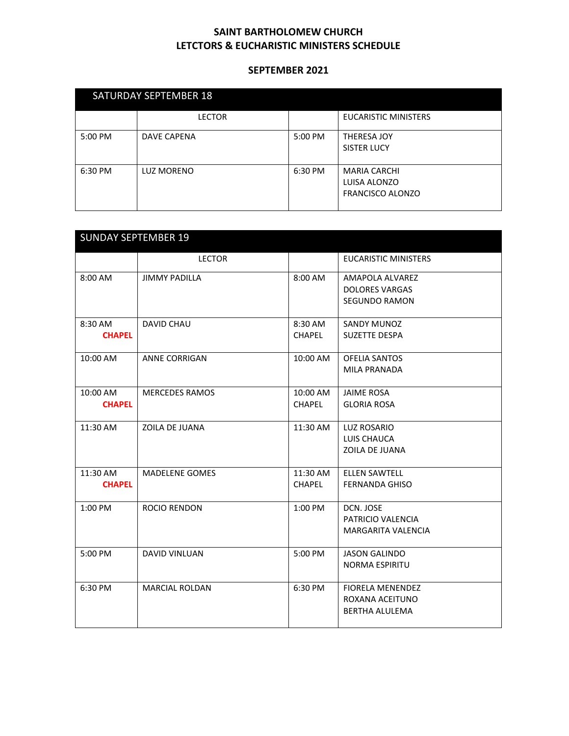| <b>SATURDAY SEPTEMBER 18</b> |                    |         |                                                                |  |
|------------------------------|--------------------|---------|----------------------------------------------------------------|--|
|                              | <b>LECTOR</b>      |         | <b>EUCARISTIC MINISTERS</b>                                    |  |
| $5:00$ PM                    | <b>DAVE CAPENA</b> | 5:00 PM | <b>THERESA JOY</b><br><b>SISTER LUCY</b>                       |  |
| 6:30 PM                      | <b>LUZ MORENO</b>  | 6:30 PM | <b>MARIA CARCHI</b><br>LUISA ALONZO<br><b>FRANCISCO ALONZO</b> |  |

| <b>SUNDAY SEPTEMBER 19</b> |                       |                           |                                                                     |  |
|----------------------------|-----------------------|---------------------------|---------------------------------------------------------------------|--|
|                            | <b>LECTOR</b>         |                           | <b>EUCARISTIC MINISTERS</b>                                         |  |
| 8:00 AM                    | <b>JIMMY PADILLA</b>  | 8:00 AM                   | AMAPOLA ALVAREZ<br><b>DOLORES VARGAS</b><br><b>SEGUNDO RAMON</b>    |  |
| 8:30 AM<br><b>CHAPEL</b>   | <b>DAVID CHAU</b>     | 8:30 AM<br><b>CHAPEL</b>  | <b>SANDY MUNOZ</b><br><b>SUZETTE DESPA</b>                          |  |
| 10:00 AM                   | <b>ANNE CORRIGAN</b>  | 10:00 AM                  | <b>OFELIA SANTOS</b><br>MILA PRANADA                                |  |
| 10:00 AM<br><b>CHAPEL</b>  | <b>MERCEDES RAMOS</b> | 10:00 AM<br><b>CHAPEL</b> | <b>JAIME ROSA</b><br><b>GLORIA ROSA</b>                             |  |
| 11:30 AM                   | ZOILA DE JUANA        | 11:30 AM                  | LUZ ROSARIO<br>LUIS CHAUCA<br><b>ZOILA DE JUANA</b>                 |  |
| 11:30 AM<br><b>CHAPEL</b>  | <b>MADELENE GOMES</b> | 11:30 AM<br><b>CHAPEL</b> | <b>ELLEN SAWTELL</b><br><b>FERNANDA GHISO</b>                       |  |
| 1:00 PM                    | <b>ROCIO RENDON</b>   | 1:00 PM                   | DCN. JOSE<br>PATRICIO VALENCIA<br><b>MARGARITA VALENCIA</b>         |  |
| 5:00 PM                    | <b>DAVID VINLUAN</b>  | 5:00 PM                   | <b>JASON GALINDO</b><br><b>NORMA ESPIRITU</b>                       |  |
| 6:30 PM                    | <b>MARCIAL ROLDAN</b> | 6:30 PM                   | <b>FIORELA MENENDEZ</b><br>ROXANA ACEITUNO<br><b>BERTHA ALULEMA</b> |  |